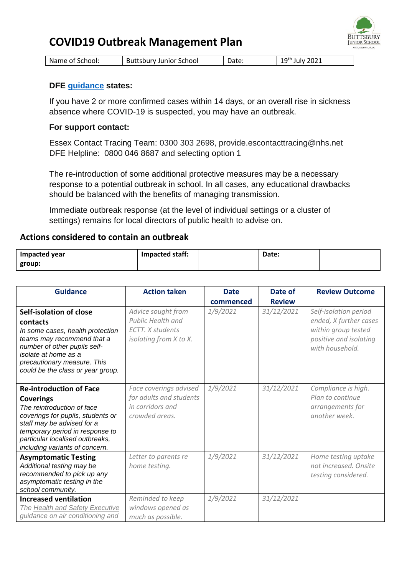## **COVID19 Outbreak Management Plan**



| Name of School: | <b>Buttsbury Junior School</b> | Date: | $19th$ July 2021 |
|-----------------|--------------------------------|-------|------------------|
|-----------------|--------------------------------|-------|------------------|

## **DFE [guidance](https://www.gov.uk/government/publications/actions-for-schools-during-the-coronavirus-outbreak/schools-coronavirus-covid-19-operational-guidance#facecoverings) states:**

If you have 2 or more confirmed cases within 14 days, or an overall rise in sickness absence where COVID-19 is suspected, you may have an outbreak.

## **For support contact:**

Essex Contact Tracing Team: 0300 303 2698, provide.escontacttracing@nhs.net DFE Helpline: 0800 046 8687 and selecting option 1

The re-introduction of some additional protective measures may be a necessary response to a potential outbreak in school. In all cases, any educational drawbacks should be balanced with the benefits of managing transmission.

Immediate outbreak response (at the level of individual settings or a cluster of settings) remains for local directors of public health to advise on.

## **Actions considered to contain an outbreak**

| <b>Impacted year</b> | Impacted staff: | Date: |  |
|----------------------|-----------------|-------|--|
| group:               |                 |       |  |

| <b>Guidance</b>                                                                                                                                                                                                                                             | <b>Action taken</b>                                                                                 | <b>Date</b> | Date of       | <b>Review Outcome</b>                                                                                               |
|-------------------------------------------------------------------------------------------------------------------------------------------------------------------------------------------------------------------------------------------------------------|-----------------------------------------------------------------------------------------------------|-------------|---------------|---------------------------------------------------------------------------------------------------------------------|
|                                                                                                                                                                                                                                                             |                                                                                                     | commenced   | <b>Review</b> |                                                                                                                     |
| Self-isolation of close<br>contacts<br>In some cases, health protection<br>teams may recommend that a<br>number of other pupils self-<br>isolate at home as a<br>precautionary measure. This<br>could be the class or year group.                           | Advice sought from<br><b>Public Health and</b><br><b>ECTT.</b> X students<br>isolating from X to X. | 1/9/2021    | 31/12/2021    | Self-isolation period<br>ended, X further cases<br>within group tested<br>positive and isolating<br>with household. |
| <b>Re-introduction of Face</b><br><b>Coverings</b><br>The reintroduction of face<br>coverings for pupils, students or<br>staff may be advised for a<br>temporary period in response to<br>particular localised outbreaks,<br>including variants of concern. | Face coverings advised<br>for adults and students<br>in corridors and<br>crowded areas.             | 1/9/2021    | 31/12/2021    | Compliance is high.<br>Plan to continue<br>arrangements for<br>another week.                                        |
| <b>Asymptomatic Testing</b><br>Additional testing may be<br>recommended to pick up any<br>asymptomatic testing in the<br>school community.                                                                                                                  | Letter to parents re<br>home testing.                                                               | 1/9/2021    | 31/12/2021    | Home testing uptake<br>not increased. Onsite<br>testing considered.                                                 |
| <b>Increased ventilation</b><br>The Health and Safety Executive<br>guidance on air conditioning and                                                                                                                                                         | Reminded to keep<br>windows opened as<br>much as possible.                                          | 1/9/2021    | 31/12/2021    |                                                                                                                     |